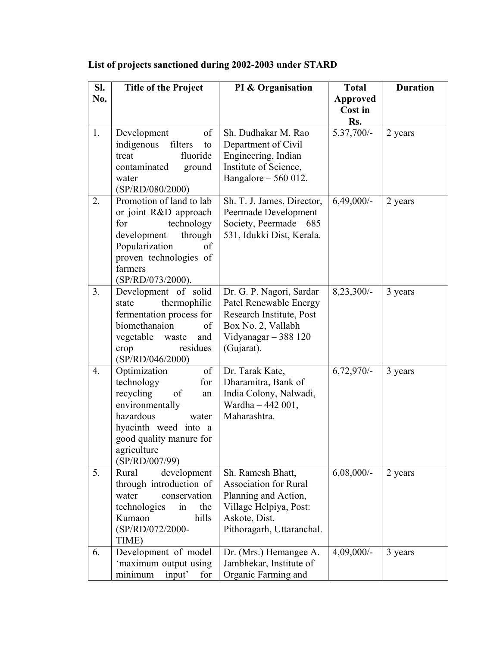| SI. | <b>Title of the Project</b>             | PI & Organisation                      | <b>Total</b>    | <b>Duration</b> |
|-----|-----------------------------------------|----------------------------------------|-----------------|-----------------|
| No. |                                         |                                        | <b>Approved</b> |                 |
|     |                                         |                                        | Cost in         |                 |
|     |                                         |                                        | Rs.             |                 |
| 1.  | of<br>Development                       | Sh. Dudhakar M. Rao                    | 5,37,700/-      | 2 years         |
|     | indigenous<br>filters<br>to             | Department of Civil                    |                 |                 |
|     | fluoride<br>treat                       | Engineering, Indian                    |                 |                 |
|     | contaminated<br>ground                  | Institute of Science,                  |                 |                 |
|     | water                                   | Bangalore $-560012$ .                  |                 |                 |
|     | (SP/RD/080/2000)                        |                                        |                 |                 |
| 2.  | Promotion of land to lab                | Sh. T. J. James, Director,             | $6,49,000/-$    | 2 years         |
|     | or joint R&D approach                   | Peermade Development                   |                 |                 |
|     | for<br>technology                       | Society, Peermade $-685$               |                 |                 |
|     | development<br>through                  | 531, Idukki Dist, Kerala.              |                 |                 |
|     | Popularization<br>of                    |                                        |                 |                 |
|     | proven technologies of                  |                                        |                 |                 |
|     | farmers                                 |                                        |                 |                 |
|     | (SP/RD/073/2000).                       |                                        |                 |                 |
| 3.  | Development of solid                    | Dr. G. P. Nagori, Sardar               | 8,23,300/-      | 3 years         |
|     | thermophilic<br>state                   | Patel Renewable Energy                 |                 |                 |
|     | fermentation process for                | Research Institute, Post               |                 |                 |
|     | biomethanaion<br>of                     | Box No. 2, Vallabh                     |                 |                 |
|     | vegetable waste<br>and                  | Vidyanagar $-388$ 120                  |                 |                 |
|     | residues<br>crop                        | (Gujarat).                             |                 |                 |
|     | (SP/RD/046/2000)                        |                                        |                 |                 |
| 4.  | Optimization<br>of<br>technology<br>for | Dr. Tarak Kate,<br>Dharamitra, Bank of | $6,72,970/-$    | 3 years         |
|     | recycling<br>of                         | India Colony, Nalwadi,                 |                 |                 |
|     | an<br>environmentally                   | Wardha - 442 001,                      |                 |                 |
|     | hazardous<br>water                      | Maharashtra.                           |                 |                 |
|     | hyacinth weed into a                    |                                        |                 |                 |
|     | good quality manure for                 |                                        |                 |                 |
|     | agriculture                             |                                        |                 |                 |
|     | (SP/RD/007/99)                          |                                        |                 |                 |
| 5.  | development<br>Rural                    | Sh. Ramesh Bhatt,                      | $6,08,000/$ -   | 2 years         |
|     | through introduction of                 | <b>Association for Rural</b>           |                 |                 |
|     | water<br>conservation                   | Planning and Action,                   |                 |                 |
|     | technologies<br>the<br>in               | Village Helpiya, Post:                 |                 |                 |
|     | hills<br>Kumaon                         | Askote, Dist.                          |                 |                 |
|     | (SP/RD/072/2000-                        | Pithoragarh, Uttaranchal.              |                 |                 |
|     | TIME)                                   |                                        |                 |                 |
| 6.  | Development of model                    | Dr. (Mrs.) Hemangee A.                 | $4,09,000/-$    | 3 years         |
|     | 'maximum output using                   | Jambhekar, Institute of                |                 |                 |
|     | input'<br>minimum<br>for                | Organic Farming and                    |                 |                 |

## **List of projects sanctioned during 2002-2003 under STARD**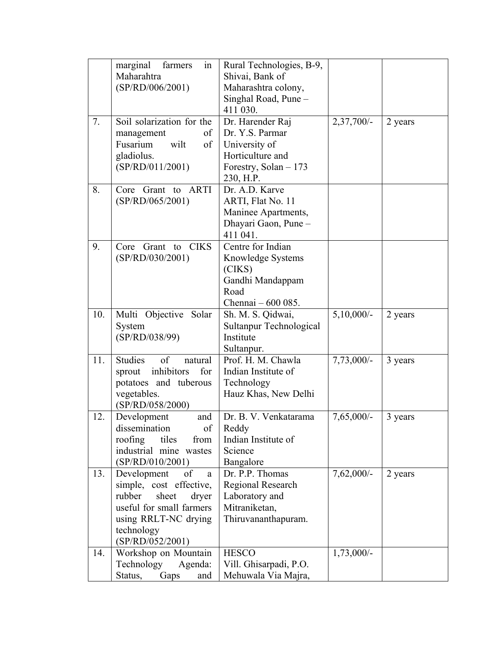|     | marginal<br>farmers<br>in   | Rural Technologies, B-9, |              |         |
|-----|-----------------------------|--------------------------|--------------|---------|
|     | Maharahtra                  | Shivai, Bank of          |              |         |
|     | (SP/RD/006/2001)            | Maharashtra colony,      |              |         |
|     |                             | Singhal Road, Pune -     |              |         |
|     |                             | 411 030.                 |              |         |
| 7.  | Soil solarization for the   | Dr. Harender Raj         | $2,37,700/-$ | 2 years |
|     | of<br>management            | Dr. Y.S. Parmar          |              |         |
|     | Fusarium<br>wilt<br>of      | University of            |              |         |
|     | gladiolus.                  | Horticulture and         |              |         |
|     | (SP/RD/011/2001)            | Forestry, Solan - 173    |              |         |
|     |                             | 230, H.P.                |              |         |
| 8.  | Core Grant to ARTI          | Dr. A.D. Karve           |              |         |
|     | (SP/RD/065/2001)            | ARTI, Flat No. 11        |              |         |
|     |                             | Maninee Apartments,      |              |         |
|     |                             | Dhayari Gaon, Pune -     |              |         |
|     |                             | 411 041.                 |              |         |
| 9.  | Grant to CIKS<br>Core       | Centre for Indian        |              |         |
|     | (SP/RD/030/2001)            | Knowledge Systems        |              |         |
|     |                             | (CIKS)                   |              |         |
|     |                             | Gandhi Mandappam         |              |         |
|     |                             | Road                     |              |         |
|     |                             | Chennai - 600 085.       |              |         |
| 10. | Multi Objective Solar       | Sh. M. S. Qidwai,        | $5,10,000/-$ | 2 years |
|     | System                      | Sultanpur Technological  |              |         |
|     | (SP/RD/038/99)              | Institute                |              |         |
|     |                             | Sultanpur.               |              |         |
| 11. | Studies<br>of<br>natural    | Prof. H. M. Chawla       | $7,73,000/-$ | 3 years |
|     | inhibitors<br>for<br>sprout | Indian Institute of      |              |         |
|     | potatoes and tuberous       | Technology               |              |         |
|     | vegetables.                 | Hauz Khas, New Delhi     |              |         |
|     | (SP/RD/058/2000)            |                          |              |         |
| 12. | Development<br>and          | Dr. B. V. Venkatarama    | $7,65,000/-$ | 3 years |
|     | dissemination<br>of         | Reddy                    |              |         |
|     | roofing<br>tiles<br>from    | Indian Institute of      |              |         |
|     | industrial mine wastes      | Science                  |              |         |
|     | (SP/RD/010/2001)            | Bangalore                |              |         |
| 13. | Development<br>of<br>a      | Dr. P.P. Thomas          | $7,62,000/-$ | 2 years |
|     | simple, cost effective,     | Regional Research        |              |         |
|     | rubber<br>sheet<br>dryer    | Laboratory and           |              |         |
|     | useful for small farmers    | Mitraniketan,            |              |         |
|     | using RRLT-NC drying        | Thiruvananthapuram.      |              |         |
|     | technology                  |                          |              |         |
|     | (SP/RD/052/2001)            |                          |              |         |
| 14. | Workshop on Mountain        | <b>HESCO</b>             | $1,73,000/-$ |         |
|     | Technology<br>Agenda:       | Vill. Ghisarpadi, P.O.   |              |         |
|     | Status,<br>Gaps<br>and      | Mehuwala Via Majra,      |              |         |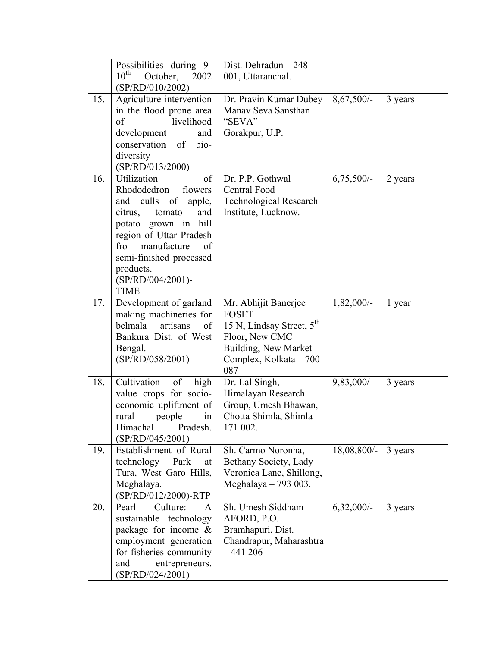|     | Possibilities during 9-<br>$10^{\text{th}}$<br>October,<br>2002<br>(SP/RD/010/2002)                                                                                                                                                                                | Dist. Dehradun - 248<br>001, Uttaranchal.                                                                                                      |              |         |
|-----|--------------------------------------------------------------------------------------------------------------------------------------------------------------------------------------------------------------------------------------------------------------------|------------------------------------------------------------------------------------------------------------------------------------------------|--------------|---------|
| 15. | Agriculture intervention<br>in the flood prone area<br>of<br>livelihood<br>development<br>and<br>conservation of<br>bio-<br>diversity<br>(SP/RD/013/2000)                                                                                                          | Dr. Pravin Kumar Dubey<br>Manav Seva Sansthan<br>"SEVA"<br>Gorakpur, U.P.                                                                      | $8,67,500/-$ | 3 years |
| 16. | Utilization<br>of<br>Rhododedron<br>flowers<br>culls<br>and<br>of<br>apple,<br>tomato<br>and<br>citrus,<br>potato grown in hill<br>region of Uttar Pradesh<br>manufacture<br>fro<br>of<br>semi-finished processed<br>products.<br>(SP/RD/004/2001)-<br><b>TIME</b> | Dr. P.P. Gothwal<br><b>Central Food</b><br><b>Technological Research</b><br>Institute, Lucknow.                                                | $6,75,500/-$ | 2 years |
| 17. | Development of garland<br>making machineries for<br>belmala<br>artisans<br>of<br>Bankura Dist. of West<br>Bengal.<br>(SP/RD/058/2001)                                                                                                                              | Mr. Abhijit Banerjee<br><b>FOSET</b><br>15 N, Lindsay Street, $5th$<br>Floor, New CMC<br>Building, New Market<br>Complex, Kolkata - 700<br>087 | $1,82,000/-$ | 1 year  |
| 18. | Cultivation<br>high<br>of<br>value crops for socio-<br>economic upliftment of<br>rural<br>people<br>in<br>Himachal<br>Pradesh.<br>(SP/RD/045/2001)                                                                                                                 | Dr. Lal Singh,<br>Himalayan Research<br>Group, Umesh Bhawan,<br>Chotta Shimla, Shimla -<br>171 002.                                            | $9,83,000/-$ | 3 years |
| 19. | Establishment of Rural<br>technology<br>Park<br>at<br>Tura, West Garo Hills,<br>Meghalaya.<br>(SP/RD/012/2000)-RTP                                                                                                                                                 | Sh. Carmo Noronha,<br>Bethany Society, Lady<br>Veronica Lane, Shillong,<br>Meghalaya $-793003$ .                                               | 18,08,800/-  | 3 years |
| 20. | Pearl<br>Culture:<br>$\mathsf{A}$<br>sustainable technology<br>package for income $\&$<br>employment generation<br>for fisheries community<br>and<br>entrepreneurs.<br>(SP/RD/024/2001)                                                                            | Sh. Umesh Siddham<br>AFORD, P.O.<br>Bramhapuri, Dist.<br>Chandrapur, Maharashtra<br>$-441206$                                                  | $6,32,000/-$ | 3 years |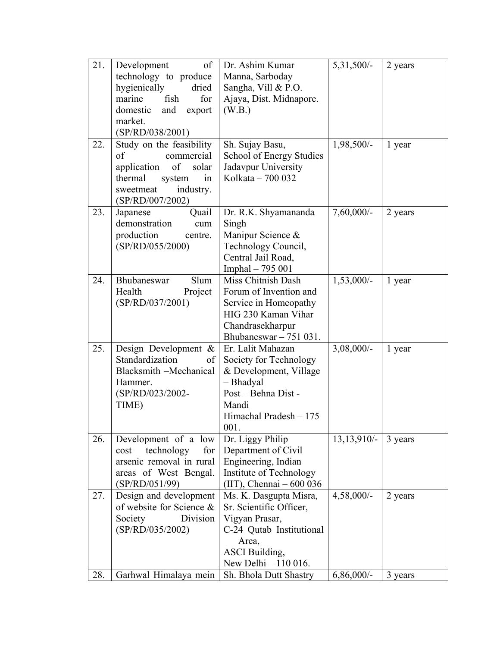| 21. | of<br>Development<br>technology to produce<br>hygienically<br>dried                                                                                 | Dr. Ashim Kumar<br>Manna, Sarboday<br>Sangha, Vill & P.O.                                                                                                 | $5,31,500/-$    | 2 years |
|-----|-----------------------------------------------------------------------------------------------------------------------------------------------------|-----------------------------------------------------------------------------------------------------------------------------------------------------------|-----------------|---------|
|     | fish<br>marine<br>for<br>domestic<br>export<br>and                                                                                                  | Ajaya, Dist. Midnapore.<br>(W.B.)                                                                                                                         |                 |         |
|     | market.<br>(SP/RD/038/2001)                                                                                                                         |                                                                                                                                                           |                 |         |
| 22. | Study on the feasibility<br>of<br>commercial<br>application<br>of<br>solar<br>thermal<br>system<br>in<br>sweetmeat<br>industry.<br>(SP/RD/007/2002) | Sh. Sujay Basu,<br>School of Energy Studies<br>Jadavpur University<br>Kolkata - 700 032                                                                   | 1,98,500/-      | 1 year  |
| 23. | Quail<br>Japanese<br>demonstration<br>cum<br>production<br>centre.<br>(SP/RD/055/2000)                                                              | Dr. R.K. Shyamananda<br>Singh<br>Manipur Science &<br>Technology Council,<br>Central Jail Road,<br>Imphal - 795 001                                       | $7,60,000/$ -   | 2 years |
| 24. | Bhubaneswar<br>Slum<br>Health<br>Project<br>(SP/RD/037/2001)                                                                                        | Miss Chitnish Dash<br>Forum of Invention and<br>Service in Homeopathy<br>HIG 230 Kaman Vihar<br>Chandrasekharpur<br>Bhubaneswar $-751031$ .               | $1,53,000/-$    | 1 year  |
| 25. | Design Development $\&$<br>Standardization<br>of<br>Blacksmith -Mechanical<br>Hammer.<br>(SP/RD/023/2002-<br>TIME)                                  | Er. Lalit Mahazan<br>Society for Technology<br>& Development, Village<br>- Bhadyal<br>Post - Behna Dist -<br>Mandi<br>Himachal Pradesh - 175<br>001.      | $3,08,000/-$    | 1 year  |
| 26. | Development of a low<br>technology<br>for<br>cost<br>arsenic removal in rural<br>areas of West Bengal.<br>(SP/RD/051/99)                            | Dr. Liggy Philip<br>Department of Civil<br>Engineering, Indian<br>Institute of Technology<br>$(III)$ , Chennai $-600036$                                  | $13, 13, 910/-$ | 3 years |
| 27. | Design and development<br>of website for Science &<br>Society<br>Division<br>(SP/RD/035/2002)                                                       | Ms. K. Dasgupta Misra,<br>Sr. Scientific Officer,<br>Vigyan Prasar,<br>C-24 Qutab Institutional<br>Area,<br><b>ASCI</b> Building,<br>New Delhi - 110 016. | $4,58,000/-$    | 2 years |
| 28. | Garhwal Himalaya mein                                                                                                                               | Sh. Bhola Dutt Shastry                                                                                                                                    | $6,86,000/$ -   | 3 years |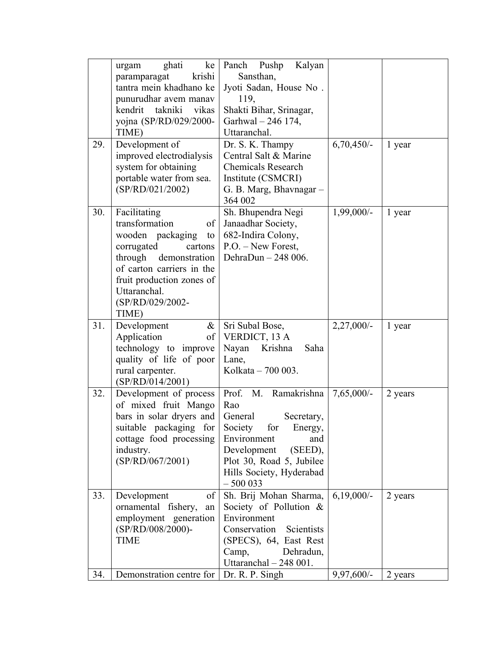|     | ke<br>ghati<br>urgam        | Panch Pushp<br>Kalyan                     |               |         |
|-----|-----------------------------|-------------------------------------------|---------------|---------|
|     | krishi<br>paramparagat      | Sansthan,                                 |               |         |
|     | tantra mein khadhano ke     | Jyoti Sadan, House No.                    |               |         |
|     | punurudhar avem manav       | 119,                                      |               |         |
|     | takniki<br>kendrit<br>vikas | Shakti Bihar, Srinagar,                   |               |         |
|     | yojna (SP/RD/029/2000-      | Garhwal - 246 174,                        |               |         |
|     | TIME)                       | Uttaranchal.                              |               |         |
| 29. | Development of              | Dr. S. K. Thampy                          | $6,70,450/-$  | 1 year  |
|     | improved electrodialysis    | Central Salt & Marine                     |               |         |
|     |                             | <b>Chemicals Research</b>                 |               |         |
|     | system for obtaining        |                                           |               |         |
|     | portable water from sea.    | Institute (CSMCRI)                        |               |         |
|     | (SP/RD/021/2002)            | G. B. Marg, Bhavnagar -                   |               |         |
|     |                             | 364 002                                   |               |         |
| 30. | Facilitating                | Sh. Bhupendra Negi                        | $1,99,000/-$  | 1 year  |
|     | transformation<br>of        | Janaadhar Society,                        |               |         |
|     | wooden packaging<br>to      | 682-Indira Colony,                        |               |         |
|     | corrugated<br>cartons       | $P.O. - New Forest,$                      |               |         |
|     | through demonstration       | DehraDun - 248 006.                       |               |         |
|     | of carton carriers in the   |                                           |               |         |
|     | fruit production zones of   |                                           |               |         |
|     | Uttaranchal.                |                                           |               |         |
|     | (SP/RD/029/2002-            |                                           |               |         |
|     | TIME)                       |                                           |               |         |
| 31. | Development<br>$\&$         | Sri Subal Bose,                           | $2,27,000/-$  | 1 year  |
|     | Application<br>of           | VERDICT, 13 A                             |               |         |
|     | technology to improve       | Nayan<br>Krishna<br>Saha                  |               |         |
|     | quality of life of poor     | Lane,                                     |               |         |
|     | rural carpenter.            | Kolkata - 700 003.                        |               |         |
|     | (SP/RD/014/2001)            |                                           |               |         |
| 32. | Development of process      | Prof. M. Ramakrishna                      | $7,65,000/$ - | 2 years |
|     | of mixed fruit Mango        | Rao                                       |               |         |
|     |                             |                                           |               |         |
|     |                             | General<br>Secretary,                     |               |         |
|     | bars in solar dryers and    |                                           |               |         |
|     | suitable packaging for      | Society<br>for<br>Energy,                 |               |         |
|     | cottage food processing     | Environment<br>and                        |               |         |
|     | industry.                   | Development<br>$(SEED)$ ,                 |               |         |
|     | (SP/RD/067/2001)            | Plot 30, Road 5, Jubilee                  |               |         |
|     |                             | Hills Society, Hyderabad                  |               |         |
|     |                             | $-500033$                                 |               |         |
| 33. | Development<br>of           | Sh. Brij Mohan Sharma,                    | $6,19,000/-$  | 2 years |
|     | ornamental fishery,<br>an   | Society of Pollution &                    |               |         |
|     | employment generation       | Environment                               |               |         |
|     | (SP/RD/008/2000)-           | Conservation<br>Scientists                |               |         |
|     | <b>TIME</b>                 | (SPECS), 64, East Rest                    |               |         |
|     |                             | Dehradun,<br>Camp,                        |               |         |
| 34. | Demonstration centre for    | Uttaranchal - 248 001.<br>Dr. R. P. Singh | $9,97,600/-$  | 2 years |